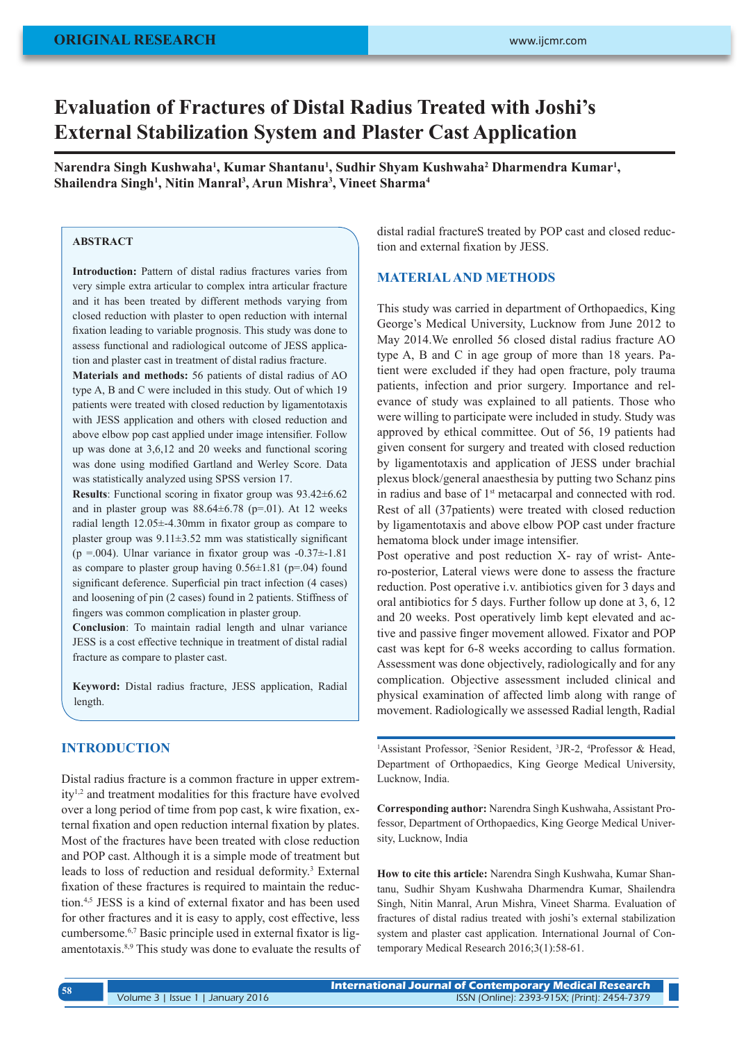# **Evaluation of Fractures of Distal Radius Treated with Joshi's External Stabilization System and Plaster Cast Application**

Narendra Singh Kushwaha<sup>1</sup>, Kumar Shantanu<sup>1</sup>, Sudhir Shyam Kushwaha<sup>2</sup> Dharmendra Kumar<sup>1</sup>, **Shailendra Singh1 , Nitin Manral3 , Arun Mishra3 , Vineet Sharma4**

#### **ABSTRACT**

**Introduction:** Pattern of distal radius fractures varies from very simple extra articular to complex intra articular fracture and it has been treated by different methods varying from closed reduction with plaster to open reduction with internal fixation leading to variable prognosis. This study was done to assess functional and radiological outcome of JESS application and plaster cast in treatment of distal radius fracture.

**Materials and methods:** 56 patients of distal radius of AO type A, B and C were included in this study. Out of which 19 patients were treated with closed reduction by ligamentotaxis with JESS application and others with closed reduction and above elbow pop cast applied under image intensifier. Follow up was done at 3,6,12 and 20 weeks and functional scoring was done using modified Gartland and Werley Score. Data was statistically analyzed using SPSS version 17.

**Results**: Functional scoring in fixator group was 93.42±6.62 and in plaster group was  $88.64\pm6.78$  (p=.01). At 12 weeks radial length 12.05±-4.30mm in fixator group as compare to plaster group was 9.11±3.52 mm was statistically significant (p =.004). Ulnar variance in fixator group was  $-0.37 \pm 1.81$ as compare to plaster group having  $0.56\pm1.81$  (p=.04) found significant deference. Superficial pin tract infection (4 cases) and loosening of pin (2 cases) found in 2 patients. Stiffness of fingers was common complication in plaster group.

**Conclusion**: To maintain radial length and ulnar variance JESS is a cost effective technique in treatment of distal radial fracture as compare to plaster cast.

**Keyword:** Distal radius fracture, JESS application, Radial length.

#### **INTRODUCTION**

Distal radius fracture is a common fracture in upper extremity1,2 and treatment modalities for this fracture have evolved over a long period of time from pop cast, k wire fixation, external fixation and open reduction internal fixation by plates. Most of the fractures have been treated with close reduction and POP cast. Although it is a simple mode of treatment but leads to loss of reduction and residual deformity.<sup>3</sup> External fixation of these fractures is required to maintain the reduction.<sup>4,5</sup> JESS is a kind of external fixator and has been used for other fractures and it is easy to apply, cost effective, less cumbersome.6,7 Basic principle used in external fixator is ligamentotaxis.8,9 This study was done to evaluate the results of distal radial fractureS treated by POP cast and closed reduction and external fixation by JESS.

### **MATERIAL AND METHODS**

This study was carried in department of Orthopaedics, King George's Medical University, Lucknow from June 2012 to May 2014.We enrolled 56 closed distal radius fracture AO type A, B and C in age group of more than 18 years. Patient were excluded if they had open fracture, poly trauma patients, infection and prior surgery. Importance and relevance of study was explained to all patients. Those who were willing to participate were included in study. Study was approved by ethical committee. Out of 56, 19 patients had given consent for surgery and treated with closed reduction by ligamentotaxis and application of JESS under brachial plexus block/general anaesthesia by putting two Schanz pins in radius and base of 1<sup>st</sup> metacarpal and connected with rod. Rest of all (37patients) were treated with closed reduction by ligamentotaxis and above elbow POP cast under fracture hematoma block under image intensifier.

Post operative and post reduction X- ray of wrist- Antero-posterior, Lateral views were done to assess the fracture reduction. Post operative i.v. antibiotics given for 3 days and oral antibiotics for 5 days. Further follow up done at 3, 6, 12 and 20 weeks. Post operatively limb kept elevated and active and passive finger movement allowed. Fixator and POP cast was kept for 6-8 weeks according to callus formation. Assessment was done objectively, radiologically and for any complication. Objective assessment included clinical and physical examination of affected limb along with range of movement. Radiologically we assessed Radial length, Radial

<sup>1</sup>Assistant Professor, <sup>2</sup>Senior Resident, <sup>3</sup>JR-2, <sup>4</sup>Professor & Head, Department of Orthopaedics, King George Medical University, Lucknow, India.

**Corresponding author:** Narendra Singh Kushwaha, Assistant Professor, Department of Orthopaedics, King George Medical University, Lucknow, India

**How to cite this article:** Narendra Singh Kushwaha, Kumar Shantanu, Sudhir Shyam Kushwaha Dharmendra Kumar, Shailendra Singh, Nitin Manral, Arun Mishra, Vineet Sharma. Evaluation of fractures of distal radius treated with joshi's external stabilization system and plaster cast application. International Journal of Contemporary Medical Research 2016;3(1):58-61.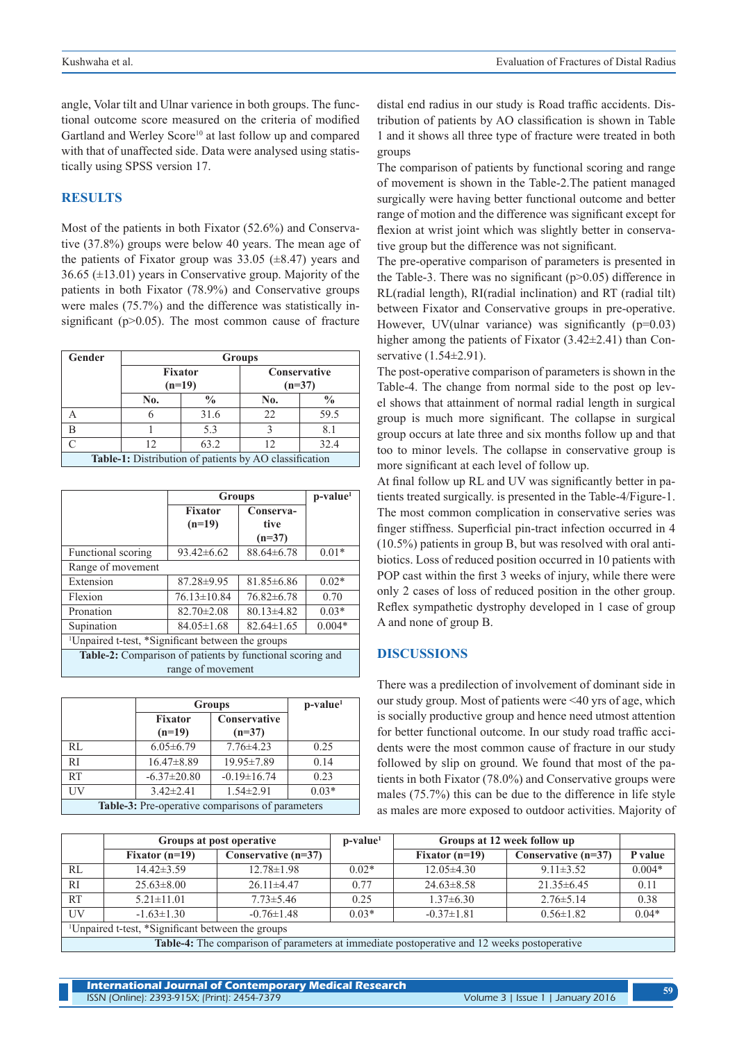angle, Volar tilt and Ulnar varience in both groups. The functional outcome score measured on the criteria of modified Gartland and Werley Score<sup>10</sup> at last follow up and compared with that of unaffected side. Data were analysed using statistically using SPSS version 17.

#### **RESULTS**

Most of the patients in both Fixator (52.6%) and Conservative (37.8%) groups were below 40 years. The mean age of the patients of Fixator group was  $33.05$  ( $\pm 8.47$ ) years and 36.65 (±13.01) years in Conservative group. Majority of the patients in both Fixator (78.9%) and Conservative groups were males (75.7%) and the difference was statistically insignificant ( $p$  $>$ 0.05). The most common cause of fracture

| Gender                                                 | <b>Groups</b>              |               |                                 |               |  |
|--------------------------------------------------------|----------------------------|---------------|---------------------------------|---------------|--|
|                                                        | <b>Fixator</b><br>$(n=19)$ |               | <b>Conservative</b><br>$(n=37)$ |               |  |
|                                                        | No.                        | $\frac{0}{0}$ | No.                             | $\frac{0}{0}$ |  |
|                                                        | h                          | 31.6          | 22.                             | 59.5          |  |
|                                                        |                            | 5.3           |                                 | 8.1           |  |
|                                                        | 12                         | 63.2          | 12                              | 32.4          |  |
| Table-1: Distribution of patients by AO classification |                            |               |                                 |               |  |

|                                                               | <b>Groups</b>              | $p$ -value <sup>1</sup>       |          |  |
|---------------------------------------------------------------|----------------------------|-------------------------------|----------|--|
|                                                               | <b>Fixator</b><br>$(n=19)$ | Conserva-<br>tive<br>$(n=37)$ |          |  |
| Functional scoring                                            | $93.42\pm 6.62$            | $88.64 \pm 6.78$              | $0.01*$  |  |
| Range of movement                                             |                            |                               |          |  |
| Extension                                                     | $87.28 \pm 9.95$           | 81.85±6.86                    | $0.02*$  |  |
| Flexion                                                       | $76.13 \pm 10.84$          | $76.82 \pm 6.78$              | 0.70     |  |
| Pronation                                                     | $82.70 \pm 2.08$           | $80.13 \pm 4.82$              | $0.03*$  |  |
| Supination                                                    | $84.05 \pm 1.68$           | $82.64 \pm 1.65$              | $0.004*$ |  |
| <sup>1</sup> Unpaired t-test, *Significant between the groups |                            |                               |          |  |
| Table-2: Comparison of patients by functional scoring and     |                            |                               |          |  |
| range of movement                                             |                            |                               |          |  |

|                                                  | <b>Groups</b>     | $p-value1$        |         |  |
|--------------------------------------------------|-------------------|-------------------|---------|--|
|                                                  | <b>Fixator</b>    | Conservative      |         |  |
|                                                  | $(n=19)$          | $(n=37)$          |         |  |
| RL                                               | $6.05 \pm 6.79$   | $7.76 \pm 4.23$   | 0.25    |  |
| <sub>RI</sub>                                    | $16.47\pm8.89$    | 19.95±7.89        | 0.14    |  |
| RT                                               | $-6.37 \pm 20.80$ | $-0.19 \pm 16.74$ | 0.23    |  |
| UV                                               | $3.42 \pm 2.41$   | $1.54 \pm 2.91$   | $0.03*$ |  |
| Table-3: Pre-operative comparisons of parameters |                   |                   |         |  |

distal end radius in our study is Road traffic accidents. Distribution of patients by AO classification is shown in Table 1 and it shows all three type of fracture were treated in both groups

The comparison of patients by functional scoring and range of movement is shown in the Table-2.The patient managed surgically were having better functional outcome and better range of motion and the difference was significant except for flexion at wrist joint which was slightly better in conservative group but the difference was not significant.

The pre-operative comparison of parameters is presented in the Table-3. There was no significant  $(p>0.05)$  difference in RL(radial length), RI(radial inclination) and RT (radial tilt) between Fixator and Conservative groups in pre-operative. However, UV(ulnar variance) was significantly  $(p=0.03)$ higher among the patients of Fixator (3.42 $\pm$ 2.41) than Conservative (1.54±2.91).

The post-operative comparison of parameters is shown in the Table-4. The change from normal side to the post op level shows that attainment of normal radial length in surgical group is much more significant. The collapse in surgical group occurs at late three and six months follow up and that too to minor levels. The collapse in conservative group is more significant at each level of follow up.

At final follow up RL and UV was significantly better in patients treated surgically. is presented in the Table-4/Figure-1. The most common complication in conservative series was finger stiffness. Superficial pin-tract infection occurred in 4 (10.5%) patients in group B, but was resolved with oral antibiotics. Loss of reduced position occurred in 10 patients with POP cast within the first 3 weeks of injury, while there were only 2 cases of loss of reduced position in the other group. Reflex sympathetic dystrophy developed in 1 case of group A and none of group B.

## **DISCUSSIONS**

There was a predilection of involvement of dominant side in our study group. Most of patients were <40 yrs of age, which is socially productive group and hence need utmost attention for better functional outcome. In our study road traffic accidents were the most common cause of fracture in our study followed by slip on ground. We found that most of the patients in both Fixator (78.0%) and Conservative groups were males (75.7%) this can be due to the difference in life style as males are more exposed to outdoor activities. Majority of

|                                                                                             | Groups at post operative |                       | $p-value1$ | Groups at 12 week follow up |                       |          |
|---------------------------------------------------------------------------------------------|--------------------------|-----------------------|------------|-----------------------------|-----------------------|----------|
|                                                                                             | Fixator $(n=19)$         | Conservative $(n=37)$ |            | Fixator $(n=19)$            | Conservative $(n=37)$ | P value  |
| RL                                                                                          | $14.42 \pm 3.59$         | $12.78 \pm 1.98$      | $0.02*$    | $12.05\pm4.30$              | $9.11 \pm 3.52$       | $0.004*$ |
| RI                                                                                          | $25.63 \pm 8.00$         | $26.11 \pm 4.47$      | 0.77       | $24.63 \pm 8.58$            | $21.35\pm 6.45$       | 0.11     |
| <b>RT</b>                                                                                   | $5.21 \pm 11.01$         | $7.73 \pm 5.46$       | 0.25       | $1.37\pm 6.30$              | $2.76 \pm 5.14$       | 0.38     |
| UV                                                                                          | $-1.63 \pm 1.30$         | $-0.76 \pm 1.48$      | $0.03*$    | $-0.37 \pm 1.81$            | $0.56 \pm 1.82$       | $0.04*$  |
| <sup>1</sup> Unpaired t-test, *Significant between the groups                               |                          |                       |            |                             |                       |          |
| Table-4: The comparison of parameters at immediate postoperative and 12 weeks postoperative |                          |                       |            |                             |                       |          |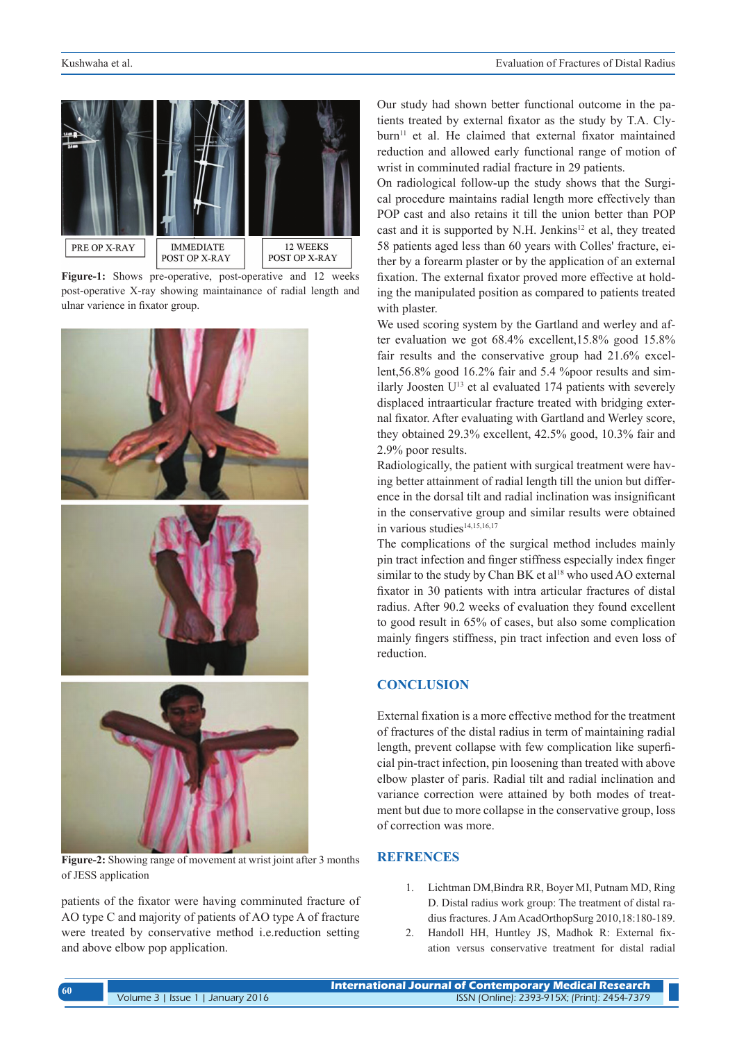

**Figure-1:** Shows pre-operative, post-operative and 12 weeks post-operative X-ray showing maintainance of radial length and ulnar varience in fixator group.



**Figure-2:** Showing range of movement at wrist joint after 3 months of JESS application

patients of the fixator were having comminuted fracture of AO type C and majority of patients of AO type A of fracture were treated by conservative method i.e.reduction setting and above elbow pop application.

Our study had shown better functional outcome in the patients treated by external fixator as the study by T.A. Clyburn<sup>11</sup> et al. He claimed that external fixator maintained reduction and allowed early functional range of motion of wrist in comminuted radial fracture in 29 patients.

On radiological follow-up the study shows that the Surgical procedure maintains radial length more effectively than POP cast and also retains it till the union better than POP cast and it is supported by N.H. Jenkins<sup>12</sup> et al, they treated 58 patients aged less than 60 years with Colles' fracture, either by a forearm plaster or by the application of an external fixation. The external fixator proved more effective at holding the manipulated position as compared to patients treated with plaster.

We used scoring system by the Gartland and werley and after evaluation we got 68.4% excellent,15.8% good 15.8% fair results and the conservative group had 21.6% excellent,56.8% good 16.2% fair and 5.4 %poor results and similarly Joosten  $U^{13}$  et al evaluated 174 patients with severely displaced intraarticular fracture treated with bridging external fixator. After evaluating with Gartland and Werley score, they obtained 29.3% excellent, 42.5% good, 10.3% fair and 2.9% poor results.

Radiologically, the patient with surgical treatment were having better attainment of radial length till the union but difference in the dorsal tilt and radial inclination was insignificant in the conservative group and similar results were obtained in various studies<sup>14,15,16,17</sup>

The complications of the surgical method includes mainly pin tract infection and finger stiffness especially index finger similar to the study by Chan BK et al<sup>18</sup> who used AO external fixator in 30 patients with intra articular fractures of distal radius. After 90.2 weeks of evaluation they found excellent to good result in 65% of cases, but also some complication mainly fingers stiffness, pin tract infection and even loss of reduction.

# **CONCLUSION**

External fixation is a more effective method for the treatment of fractures of the distal radius in term of maintaining radial length, prevent collapse with few complication like superficial pin-tract infection, pin loosening than treated with above elbow plaster of paris. Radial tilt and radial inclination and variance correction were attained by both modes of treatment but due to more collapse in the conservative group, loss of correction was more.

# **REFRENCES**

- 1. Lichtman DM,Bindra RR, Boyer MI, Putnam MD, Ring D. Distal radius work group: The treatment of distal radius fractures. J Am AcadOrthopSurg 2010,18:180-189.
- 2. Handoll HH, Huntley JS, Madhok R: External fixation versus conservative treatment for distal radial